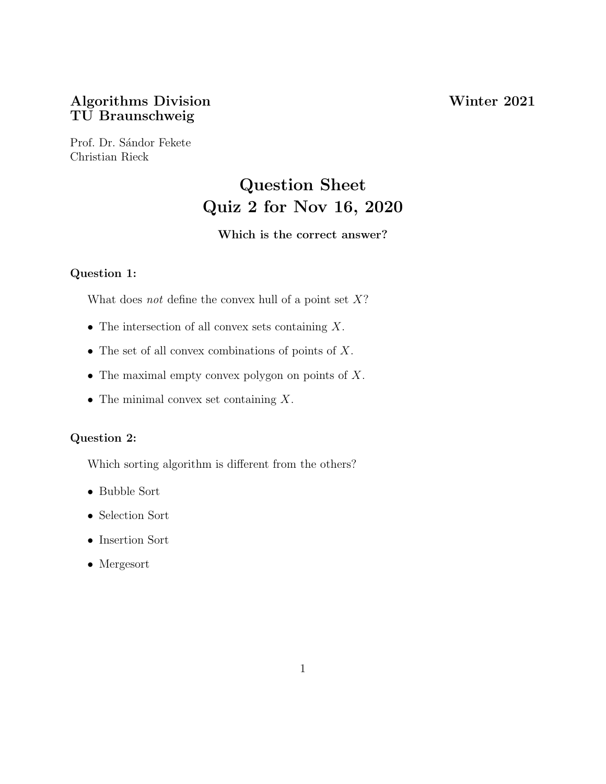## Algorithms Division Winter 2021 TU Braunschweig

Prof. Dr. Sándor Fekete Christian Rieck

# Question Sheet Quiz 2 for Nov 16, 2020

## Which is the correct answer?

## Question 1:

What does *not* define the convex hull of a point set  $X$ ?

- The intersection of all convex sets containing  $X$ .
- The set of all convex combinations of points of  $X$ .
- The maximal empty convex polygon on points of  $X$ .
- The minimal convex set containing  $X$ .

## Question 2:

Which sorting algorithm is different from the others?

- Bubble Sort
- Selection Sort
- Insertion Sort
- Mergesort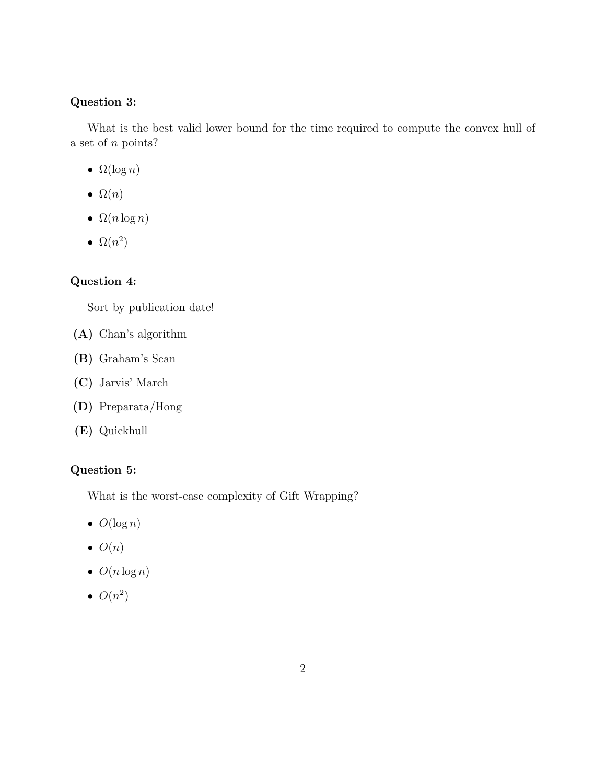#### Question 3:

What is the best valid lower bound for the time required to compute the convex hull of a set of n points?

- $\Omega(\log n)$
- $\Omega(n)$
- $\Omega(n \log n)$
- $\Omega(n^2)$

## Question 4:

Sort by publication date!

- (A) Chan's algorithm
- (B) Graham's Scan
- (C) Jarvis' March
- (D) Preparata/Hong
- (E) Quickhull

## Question 5:

What is the worst-case complexity of Gift Wrapping?

- $\bullet$   $O(\log n)$
- $\bullet$   $O(n)$
- $\bullet$   $O(n \log n)$
- $\bullet$   $O(n^2)$